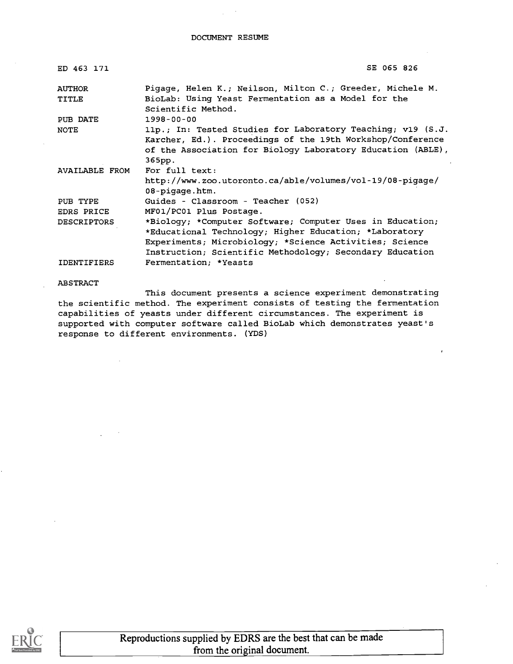| ED 463 171            | SE 065 826                                                                |
|-----------------------|---------------------------------------------------------------------------|
| <b>AUTHOR</b>         | Pigage, Helen K.; Neilson, Milton C.; Greeder, Michele M.                 |
| TITLE                 | BioLab: Using Yeast Fermentation as a Model for the<br>Scientific Method. |
| PUB DATE              | 1998-00-00                                                                |
| NOTE                  | 11p.; In: Tested Studies for Laboratory Teaching; v19 (S.J.               |
|                       | Karcher, Ed.). Proceedings of the 19th Workshop/Conference                |
|                       | of the Association for Biology Laboratory Education (ABLE),               |
|                       | 365pp.                                                                    |
| <b>AVAILABLE FROM</b> | For full text:                                                            |
|                       | http://www.zoo.utoronto.ca/able/volumes/vol-19/08-pigage/                 |
|                       | 08-pigage.htm.                                                            |
| PUB TYPE              | Guides - Classroom - Teacher (052)                                        |
| EDRS PRICE            | MF01/PC01 Plus Postage.                                                   |
| <b>DESCRIPTORS</b>    | *Biology; *Computer Software; Computer Uses in Education;                 |
|                       | *Educational Technology; Higher Education; *Laboratory                    |
|                       | Experiments; Microbiology; *Science Activities; Science                   |
|                       | Instruction; Scientific Methodology; Secondary Education                  |
| <b>IDENTIFIERS</b>    | Fermentation; *Yeasts                                                     |

ABSTRACT

This document presents a science experiment demonstrating the scientific method. The experiment consists of testing the fermentation capabilities of yeasts under different circumstances. The experiment is supported with computer software called BioLab which demonstrates yeast's response to different environments. (YDS)

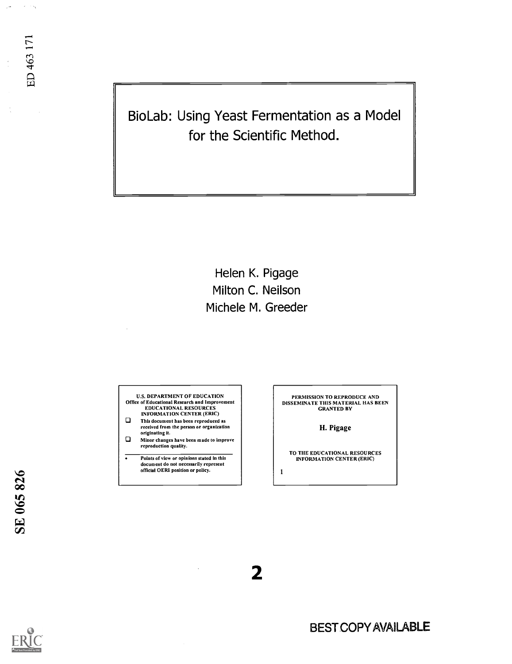BioLab: Using Yeast Fermentation as a Model for the Scientific Method.

> Helen K. Pigage Milton C. Neilson Michele M. Greeder

U.S. DEPARTMENT OF EDUCATION Office of Educational Research and Improvement EDUCATIONAL RESOURCES INFORMATION CENTER (ERIC)<br> **D** This document has been reproduced as

- received from the person or organization
- originating it.<br> $\Box$  Minor changes have been made to improve reproduction quality.
- $\overline{\cdot}$ Points of view or opinions stated in this document do not necessarily represent official OER1 position or policy.

PERMISSION TO REPRODUCE AND DISSEMINATE THIS MATERIAL HAS BEEN GRANTED BY

H. Pigage

TO THE EDUCATIONAL RESOURCES INFORMATION CENTER (ERIC)

 $\mathbf{1}$ 

2

 $\omega \rightarrow \omega_0$ 

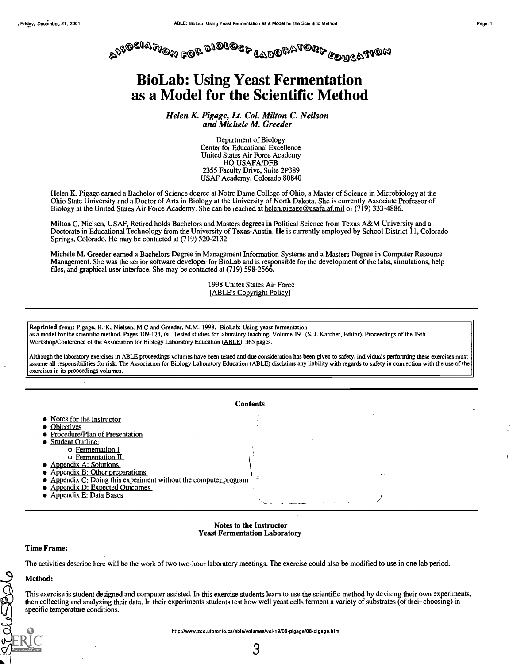

### BioLab: Using Yeast Fermentation as a Model for the Scientific Method

Helen K. Pigage, Lt. Col. Milton C. Neilson and Michele M. Greeder

> Department of Biology Center for Educational Excellence United States Air Force Academy HQ USAFA/DFB 2355 Faculty Drive, Suite 2P389 USAF Academy, Colorado 80840

Helen K. Pigage earned a Bachelor of Science degree at Notre Dame College of Ohio, a Master of Science in Microbiology at the Ohio State University and a Doctor of Arts in Biology at the University of North Dakota. She is currently Associate Professor of Biology at the United States Air Force Academy. She can be reached at helen.pigage@usafa.af.mil or (719) 333-4886.

Milton C. Nielsen, USAF, Retired holds Bachelors and Masters degrees in Political Science from Texas A&M University and a Doctorate in Educational Technology from the University of Texas-Austin. He is currently employed by School District 11, Colorado Springs, Colorado. He may be contacted at (719) 520-2132.

Michele M. Greeder earned a Bachelors Degree in Management Information Systems and a Masters Degree in Computer Resource Management. She was the senior software developer for BioLab and is responsible for the development of the labs, simulations, help files, and graphical user interface. She may be contacted at (719) 598-2566.

> 1998 Unites States Air Force [ABLE's Copyright Policy]

Reprinted from: Pigage, H. K, Nielsen, M.0 and Greeder, MM. 1998. BioLab: Using yeast fermentation as a model for the scientific method. Pages 109-124, in Tested studies for laboratory teaching, Volume 19. (S. J. Karcher, Editor). Proceedings of the 19th Workshop/Conference of the Association for Biology Laboratory Education (ABLE), 365 pages.

Although the laboratory exercises in ABLE proceedings volumes have been tested and due consideration has been given to safety, individuals performing these exercises must assume all responsibilities for risk. The Association for Biology Laboratory Education (ABLE) disclaims any liability with regards to safety in connection with the use of the exercises in its proceedings volumes.



Notes to the Instructor Yeast Fermentation Laboratory

#### Time Frame:

The activities describe here will be the work of two two-hour laboratory meetings. The exercise could also be modified to use in one lab period.

#### Method:

olessie

This exercise is student designed and computer assisted. In this exercise students learn to use the scientific method by devising their own experiments, then collecting and analyzing their data. In their experiments students test how well yeast cells ferment a variety of substrates (of their choosing) in specific temperature conditions.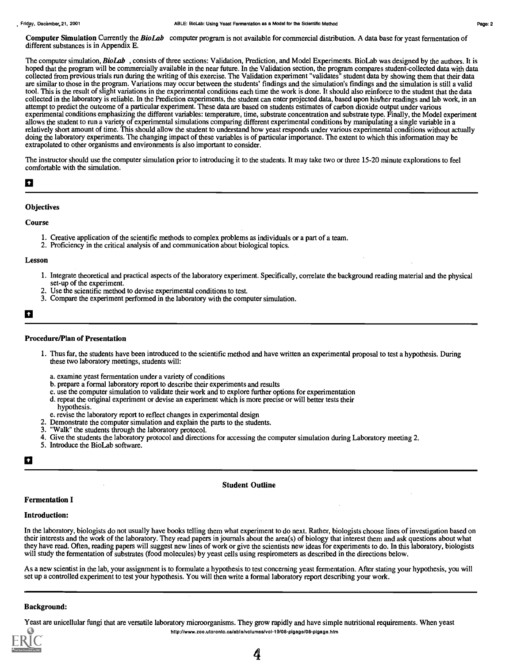The computer simulation, BioLab, consists of three sections: Validation, Prediction, and Model Experiments. BioLab was designed by the authors. It is hoped that the program will be commercially available in the near future. In the Validation section, the program compares student-collected data with data collected from previous trials run during the writing of this exercise. The Validation experiment "validates" student data by showing them that their data are similar to those in the program. Variations may occur between the students' findings and the simulation's findings and the simulation is still a valid tool. This is the result of slight variations in the experimental conditions each time the work is done. It should also reinforce to the student that the data collected in the laboratory is reliable. In the Prediction experiments, the student can enter projected data, based upon hisfher readings and lab work, in an attempt to predict the outcome of a particular experiment. These data are based on students estimates of carbon dioxide output under various experimental conditions emphasizing the different variables: temperature, time, substrate concentration and substrate type. Finally, the Model experiment allows the student to run a variety of experimental simulations comparing different experimental conditions by manipulating a single variable in a relatively short amount of time. This should allow the student to understand how yeast responds under various experimental conditions without actually doing the laboratory experiments. The changing impact of these variables is of particular importance. The extent to which this information may be extrapolated to other organisms and environments is also important to consider.

The instructor should use the computer simulation prior to introducing it to the students. It may take two or three 15-20 minute explorations to feel comfortable with the simulation.

## $\overline{a}$

#### **Objectives**

#### Course

- 1. Creative application of the scientific methods to complex problems as individuals or a part of a team.
- 2. Proficiency in the critical analysis of and communication about biological topics.

#### Lesson

- 1. Integrate theoretical and practical aspects of the laboratory experiment. Specifically, correlate the background reading material and the physical set-up of the experiment.
- 2. Use the scientific method to devise experimental conditions to test.
- 3. Compare the experiment performed in the laboratory with the computer simulation.

## $\mathbf{a}$

#### Procedure/Plan of Presentation

- 1. Thus far, the students have been introduced to the scientific method and have written an experimental proposal to test a hypothesis. During these two laboratory meetings, students will:
	- a. examine yeast fermentation under a variety of conditions
	- b. prepare a formal laboratory report to describe their experiments and results
	- c. use the computer simulation to validate their work and to explore further options for experimentation
	- d. repeat the original experiment or devise an experiment which is more precise or will better tests their
	- hypothesis.
- e. revise the laboratory report to reflect changes in experimental design
- 2. Demonstrate the computer simulation and explain the parts to the students.
- "Walk" the students through the laboratory protocol.
- 4. Give the students the laboratory protocol and directions for accessing the computer simulation during Laboratory meeting 2.
- 5. Introduce the BioLab software.

## a barat da ba

#### Student Outline

#### Fermentation I

#### Introduction:

In the laboratory, biologists do not usually have books telling them what experiment to do next. Rather, biologists choose lines of investigation based on their interests and the work of the laboratory. They read papers in journals about the area(s) of biology that interest them and ask questions about what they have read. Often, reading papers will suggest new lines of work or give the scientists new ideas for experiments to do. In this laboratory,biologists will study the fermentation of substrates (food molecules) by yeast cells using respirometers as described in the directions below.

As a new scientist in the lab, your assignment is to formulate a hypothesis to test concerning yeast fermentation. After stating your hypothesis, you will set up a controlled experiment to test your hypothesis. You will then write a formal laboratory report describing your work.

#### Background:

Yeast are unicellular fungi that are versatile laboratory microorganisms. They grow rapidly and have simple nutritional requirements. When yeast



http://www.zoo.utoronto.ca/able/volumes/vol-19/08-pigage/08-pigage.htm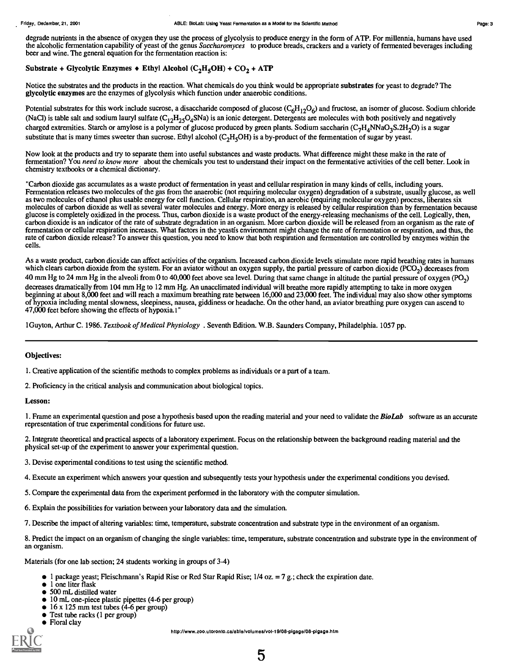degrade nutrients in the absence of oxygen they use the process of glycolysis to produce energy in the form of ATP. For millennia, humans have used the alcoholic fermentation capability of yeast of the genus Saccharomyces to produce breads, crackers and a variety of fermented beverages including beer and wine. The general equation for the fermentation reaction is:

#### Substrate + Glycolytic Enzymes  $\bullet$  Ethyl Alcohol (C<sub>2</sub>H<sub>5</sub>OH) + CO<sub>2</sub> + ATP

Notice the substrates and the products in the reaction. What chemicals do you think would be appropriate substrates for yeast to degrade? The glycolytic enzymes are the enzymes of glycolysis which function under anaerobic conditions.

Potential substrates for this work include sucrose, a disaccharide composed of glucose  $(C_6H_{12}O_6)$  and fructose, an isomer of glucose. Sodium chloride (NaCl) is table salt and sodium lauryl sulfate  $(C_{12}H_{25}O_4\text{S}Na)$  is an ionic detergent. Detergents are molecules with both positively and negatively charged extremities. Starch or amylose is a polymer of glucose produced by green plants. Sodium saccharin ( $C_7H_4NNaO_3S.2H_2O$ ) is a sugar substitute that is many times sweeter than sucrose. Ethyl alcohol (C<sub>2</sub>H<sub>3</sub>OH) is a by-product of the fermentation of sugar by yeast.

Now look at the products and try to separate them into useful substances and waste products. What difference might these make in the rate of fermentation? You need to know more about the chemicals you test to understand their impact on the fermentative activities of the cell better. Look in chemistry textbooks or a chemical dictionary.

"Carbon dioxide gas accumulates as a waste product of fermentation in yeast and cellular respiration in many kinds of cells, including yours. Fermentation releases two molecules of the gas from the anaerobic (not requiring molecular oxygen) degradation of a substrate, usually glucose, as well as two molecules of ethanol plus usable energy for cell function. Cellular respiration, an aerobic (requiring molecular oxygen) process, liberates six molecules of carbon dioxide as well as several water molecules and energy. More energy is released by cellular respiration than by fermentation because glucose is completely oxidized in the process. Thus, carbon dioxide is a waste product of the energy-releasing mechanisms of the cell. Logically, then, carbon dioxide is an indicator of the rate of substrate degradation in an organism. More carbon dioxide will be released from an organism as the rate of fermentation or cellular respiration increases. What factors in the yeastis environment might change the rate of fermentation or respiration, and thus, the rate of carbon dioxide release? To answer this question, you need to know that both respiration and fermentation are controlled by enzymes within the cells.

As a waste product, carbon dioxide can affect activities of the organism. Increased carbon dioxide levels stimulate more rapid breathing rates in humans which clears carbon dioxide from the system. For an aviator without an oxygen supply, the partial pressure of carbon dioxide (PCO<sub>2</sub>) decreases from 40 mm Hg to 24 mm Hg in the alveoli from 0 to 40,000 feet above sea level. During that same change in altitude the partial pressure of oxygen (PO<sub>2</sub>) decreases dramatically from 104 mm Hg to 12 mm Hg. An unacclimated individual will breathe more rapidly attempting to take in more oxygen beginning at about 8,000 feet and will reach a maximum breathing rate between 16,000 and 23,000 feet. The individual may also show other symptoms of hypoxia including mental slowness, sleepiness, nausea, giddiness or headache. On the other hand, an aviator breathing pure oxygen can ascend to 47,000 feet before showing the effects of hypoxia.1"

1Guyton, Arthur C. 1986. Textbook of Medical Physiology . Seventh Edition. W.B. Saunders Company, Philadelphia. 1057 pp.

#### Objectives:

1. Creative application of the scientific methods to complex problems as individuals or a part of a team.

2. Proficiency in the critical analysis and communication about biological topics.

#### Lesson:

1. Frame an experimental question and pose a hypothesis based upon the reading material and your need to validate the **BioLab** software as an accurate representation of true experimental conditions for future use.

2. Integrate theoretical and practical aspects of a laboratory experiment. Focus on the relationship between the background reading material and the physical set-up of the experiment to answer your experimental question.

3. Devise experimental conditions to test using the scientific method.

4. Execute an experiment which answers your question and subsequently tests your hypothesis under the experimental conditions you devised.

- 5. Compare the experimental data from the experiment performed in the laboratory with the computer simulation.
- 6. Explain the possibilities for variation between your laboratory data and the simulation.

7. Describe the impact of altering variables: time, temperature, substrate concentration and substrate type in the environment of an organism.

8. Predict the impact on an organism of changing the single variables: time, temperature, substrate concentration and substrate type in the environment of an organism.

Materials (for one lab section; 24 students working in groups of 3-4)

- 1 package yeast; Fleischmann's Rapid Rise or Red Star Rapid Rise; 1/4 oz. = 7 g.; check the expiration date.
- 1 one liter flask
- 500 mL distilled water
- 10 mL one-piece plastic pipettes (4-6 per group)
- $\bullet$  16 x 125 mm test tubes (4-6 per group)
- Test tube racks (1 per group)
- Floral clay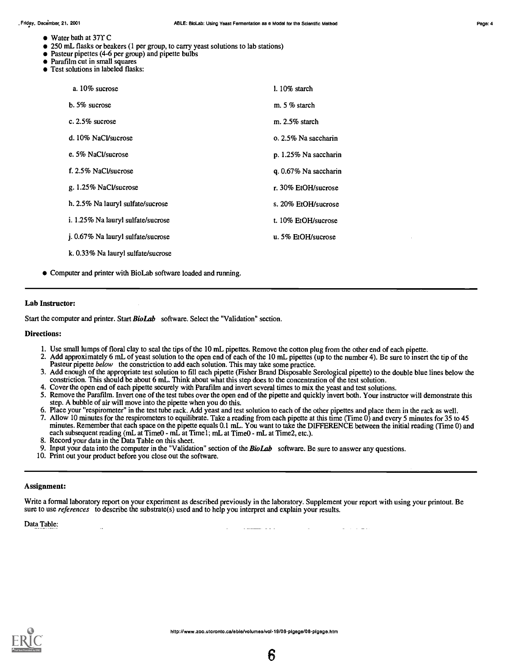- Water bath at 371 C
- 250 mL flasks or beakers (1 per group, to carry yeast solutions to lab stations)
- Pasteur pipettes (4-6 per group) and pipette bulbs
- Parafilm cut in small squares
- **Test solutions in labeled flasks:**

| a. $10\%$ sucrose                  | $1.10\%$ starch       |
|------------------------------------|-----------------------|
| $b.5%$ sucrose                     | m. $5%$ starch        |
| c. $2.5\%$ sucrose                 | m. 2.5% starch        |
| d. 10% NaCl/sucrose                | o. 2.5% Na saccharin  |
| e. 5% NaCl/sucrose                 | p. 1.25% Na saccharin |
| f. 2.5% NaCl/sucrose               | q. 0.67% Na saccharin |
| g. 1.25% NaCl/sucrose              | r. 30% EtOH/sucrose   |
| h. 2.5% Na lauryl sulfate/sucrose  | s. 20% EtOH/sucrose   |
| i. 1.25% Na lauryl sulfate/sucrose | t. 10% EtOH/sucrose   |
| j. 0.67% Na lauryl sulfate/sucrose | u. 5% EtOH/sucrose    |
| k. 0.33% Na lauryl sulfate/sucrose |                       |

Computer and printer with BioLab software loaded and running.

#### Lab Instructor:

Start the computer and printer. Start BioLab software. Select the "Validation" section.

#### Directions:

- 1. Use small lumps of floral clay to seal the tips of the 10 mL pipettes. Remove the cotton plug from the other end of each pipette.
- 2. Add approximately 6 mL of yeast solution to the open end of each of the 10 mL pipettes (up to the number 4). Be sure to insert the tip of the Pasteur pipette below the constriction to add each solution. This may take some practice.
- 3. Add enough of the appropriate test solution to fill each pipette (Fisher Brand Disposable Serological pipette) to the double blue lines below the constriction. This should be about 6 mL. Think about what this step does to the concentration of the test solution.
- 4. Cover the open end of each pipette securely with Parafilm and invert several times to mix the yeast and test solutions.
- 5. Remove the Parafilm. Invert one of the test tubes over the open end of the pipette and quickly invert both. Your instructor will demonstrate this step. A bubble of air will move into the pipette when you do this.
- 6. Place your "respirometer" in the test tube rack. Add yeast and test solution to each of the other pipettes and place them in the rack as well.
- 7. Allow 10 minutes for the respirometers to equilibrate. Take a reading from each pipette at this time (Time 0) and every 5 minutes for 35 to 45 minutes. Remember that each space on the pipette equals 0.1 mL. You want to take the DIFFERENCE between the initial reading (Time 0) and each subsequent reading (mL at Time0 - mL at Timel; mL at Time0 - mL at Time2, etc.).
- 8. Record your data in the Data Table on this sheet.
- 9. Input your data into the computer in the "Validation" section of the **BioLab** software. Be sure to answer any questions.
- 10. Print out your product before you close out the software.

#### Assignment:

Write a formal laboratory report on your experiment as described previously in the laboratory. Supplement your report with using your printout. Be sure to use *references* to describe the substrate(s) used and to help you interpret and explain your results.

Data Table:

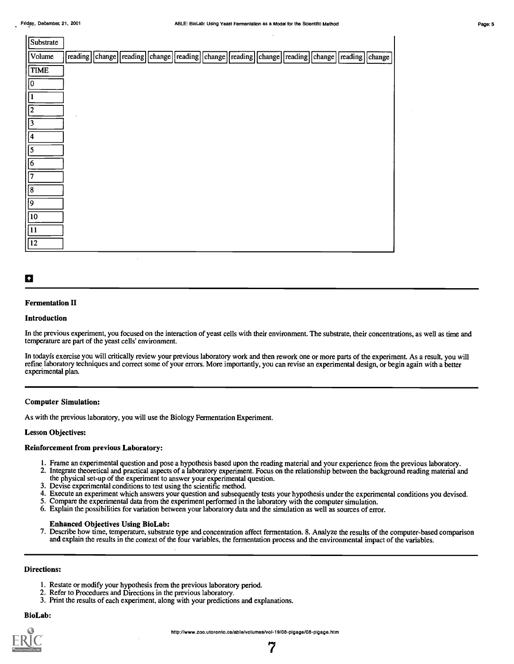| Substrate   |  |  |  |                                                                                                  |  |  |  |
|-------------|--|--|--|--------------------------------------------------------------------------------------------------|--|--|--|
| Volume      |  |  |  | reading change reading change reading change reading change reading change reading change change |  |  |  |
| TIME        |  |  |  |                                                                                                  |  |  |  |
| 10          |  |  |  |                                                                                                  |  |  |  |
| 1           |  |  |  |                                                                                                  |  |  |  |
| 12          |  |  |  |                                                                                                  |  |  |  |
| $\sqrt{3}$  |  |  |  |                                                                                                  |  |  |  |
| 4           |  |  |  |                                                                                                  |  |  |  |
| $\sqrt{5}$  |  |  |  |                                                                                                  |  |  |  |
| $\sqrt{6}$  |  |  |  |                                                                                                  |  |  |  |
| $\sqrt{7}$  |  |  |  |                                                                                                  |  |  |  |
| $\sqrt{8}$  |  |  |  |                                                                                                  |  |  |  |
| $\sqrt{9}$  |  |  |  |                                                                                                  |  |  |  |
| $\sqrt{10}$ |  |  |  |                                                                                                  |  |  |  |
| $\sqrt{11}$ |  |  |  |                                                                                                  |  |  |  |
| $\sqrt{12}$ |  |  |  |                                                                                                  |  |  |  |

## $\ddot{\mathbf{a}}$

#### Fermentation II

#### Introduction

In the previous experiment, you focused on the interaction of yeast cells with their environment. The substrate, their concentrations, as well as time and temperature are part of the yeast cells' environment.

In todayfs exercise you will critically review your previous laboratory work and then rework one or more parts of the experiment. As a result, you will refine laboratory techniques and correct some of your errors. More importantly, you can revise an experimental design, or begin again with a better experimental plan.

#### Computer Simulation:

As with the previous laboratory, you will use the Biology Fermentation Experiment.

#### Lesson Objectives:

#### Reinforcement from previous Laboratory:

- 1. Frame an experimental question and pose a hypothesis based upon the reading material and your experience from the previous laboratory.
- 2. Integrate theoretical and practical aspects of a laboratory experiment. Focus on the relationship between the background reading material and the physical set-up of the experiment to answer your experimental question.
- 3. Devise experimental conditions to test using the scientific method.
- 4. Execute an experiment which answers your question and subsequently tests your hypothesis under the experimental conditions you devised.
- 5. Compare the experimental data from the experiment performed in the laboratory with the computer simulation.
- 6. Explain the possibilities for variation between your laboratory data and the simulation as well as sources of error.

#### Enhanced Objectives Using BioLab:

7. Describe how time, temperature, substrate type and concentration affect fermentation. 8. Analyze the results of the computer-based comparison and explain the results in the context of the four variables, the fermentation process and the environmental impact of the variables.

#### Directions:

- 1. Restate or modify your hypothesis from the previous laboratory period.
- 2. Refer to Procedures and Directions in the previous laboratory.
- 3. Print the results of each experiment, along with your predictions and explanations.

#### BioLab:

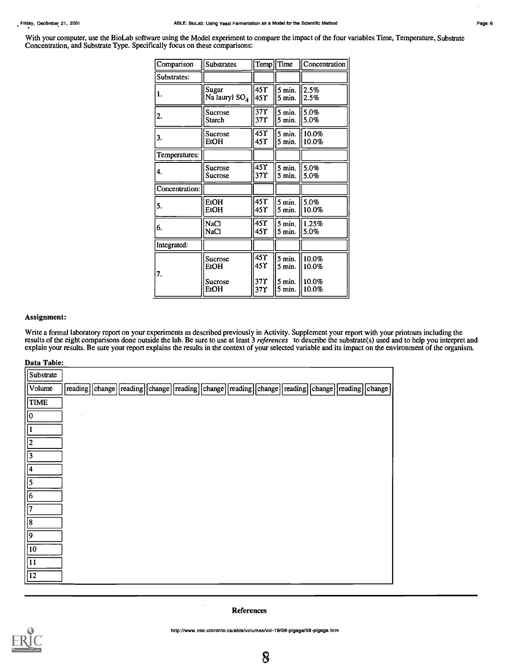With your computer, use the BioLab software using the Model experiment to compare the impact of the four variables Time, Temperature, Substrate Concentration, and Substrate Type. Specifically focus on these comparisons:

| Comparison     | <b>Substrates</b>         | Temp                   | Time               | Concentration  |  |
|----------------|---------------------------|------------------------|--------------------|----------------|--|
| Substrates:    |                           |                        |                    |                |  |
| 1.             | Sugar<br>Na lauryl $SO_4$ | $45$ $\Upsilon$<br>45Y | 5 min.<br>5 min.   | 2.5%<br>2.5%   |  |
| 2.             | Sucrose<br>Starch         | $\overline{37}$<br>37Y | $5$ min.<br>5 min. | 5.0%<br>5.0%   |  |
| 3.             | Sucrose<br>EtOH           | 45Y<br>45Y             | 5 min.<br>5 min.   | 10.0%<br>10.0% |  |
| Temperatures:  |                           |                        |                    |                |  |
| 4.             | Sucrose<br>Sucrose        | $45$ $\Upsilon$<br>37Y | 5 min.<br>5 min.   | 5.0%<br>5.0%   |  |
| Concentration: |                           |                        |                    |                |  |
| 5.             | EtOH<br>EtOH              | 45<br>45 Y             | 5 min.<br>5 min.   | 5.0%<br>10.0%  |  |
| 6.             | NaCl<br>NaCl              | 45Y<br>45Y             | 5 min.<br>5 min.   | 1.25%<br>5.0%  |  |
| Integrated:    |                           |                        |                    |                |  |
| 7.             | Sucrose<br>EtOH           | 45 Y<br>45 Y           | 5 min.<br>5 min.   | 10.0%<br>10.0% |  |
|                | Sucrose<br>EtOH           | 37 Y<br>37Y            | 5 min.<br>5 min.   | 10.0%<br>10.0% |  |

#### Assignment:

Write a formal laboratory report on your experiments as described previously in Activity. Supplement your report with your printouts including the results of the eight comparisons done outside the lab. Be sure to use at least 3 *references* to describe the substrate(s) used and to help you interpret and explain your results. Be sure your report explains the results in the context of your selected variable and its impact on the environment of the organism.

| Data Table: |
|-------------|
|-------------|

| Substrate    |        |                                                                                                  |  |  |  |  |  |
|--------------|--------|--------------------------------------------------------------------------------------------------|--|--|--|--|--|
| Volume       |        | reading change reading change reading change reading change reading change reading change change |  |  |  |  |  |
| <b>TIME</b>  |        |                                                                                                  |  |  |  |  |  |
|              | $\sim$ |                                                                                                  |  |  |  |  |  |
|              |        |                                                                                                  |  |  |  |  |  |
| 2            |        |                                                                                                  |  |  |  |  |  |
| 3            |        |                                                                                                  |  |  |  |  |  |
| 14           |        |                                                                                                  |  |  |  |  |  |
| 5            |        |                                                                                                  |  |  |  |  |  |
| 6            |        |                                                                                                  |  |  |  |  |  |
| $\sqrt{7}$   |        |                                                                                                  |  |  |  |  |  |
| $\sqrt{8}$   |        |                                                                                                  |  |  |  |  |  |
| و            |        |                                                                                                  |  |  |  |  |  |
| $\sqrt{10}$  |        |                                                                                                  |  |  |  |  |  |
| $ 11\rangle$ |        |                                                                                                  |  |  |  |  |  |
| $\sqrt{12}$  |        |                                                                                                  |  |  |  |  |  |

#### References



http://www.zoo.utoronto.ca/able/volumes/vol-19/08-pigage/08-pigage.htm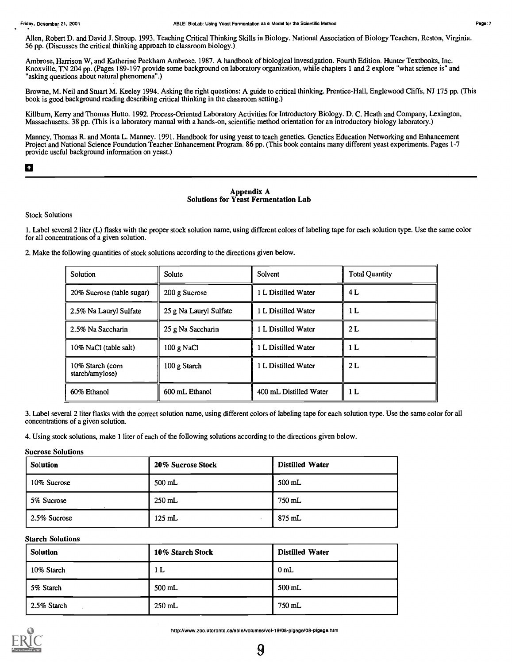Allen, Robert D. and David J. Stroup. 1993. Teaching Critical Thinking Skills in Biology. National Association of Biology Teachers, Reston, Virginia. 56 pp. (Discusses the critical thinking approach to classroom biology.)

Ambrose, Harrison W, and Katherine Peckham Ambrose. 1987. A handbook of biological investigation. Fourth Edition. Hunter Textbooks, Inc. Knoxville, TN 204 pp. (Pages 189-197 provide some background on laboratory organization, while chapters 1 and 2 explore "what science is" and "asking questions about natural phenomena".)

Browne, M. Neil and Stuart M. Keeley 1994. Asking the right questions: A guide to critical thinking. Prentice-Hall, Englewood Cliffs, NJ 175 pp. (This book is good background reading describing critical thinking in the classroom setting.)

Killburn, Keny and Thomas Hutto. 1992. Process-Oriented Laboratory Activities for Introductory Biology. D. C. Heath and Company, Lexington, Massachusetts. 38 pp. (This is a laboratory manual with a hands-on, scientific method orientation for an introductory biology laboratory.)

Manney, Thomas R. and Monta L. Manney. 1991. Handbook for using yeast to teach genetics. Genetics Education Networking and Enhancement Project and National Science Foundation Teacher Enhancement Program. 86 pp. (This book contains many different yeast experiments. Pages 1-7 provide useful background information on yeast.)

#### đ

#### Appendix A Solutions for Yeast Fermentation Lab

Stock Solutions

1. Label several 2 liter (L) flasks with the proper stock solution name, using different colors of labeling tape for each solution type. Use thesame color for all concentrations of a given solution.

2. Make the following quantities of stock solutions according to the directions given below.

| Solution                            | Solute                 | Solvent                | <b>Total Quantity</b> |
|-------------------------------------|------------------------|------------------------|-----------------------|
| 20% Sucrose (table sugar)           | 200 g Sucrose          | 1 L Distilled Water    | 4 L                   |
| 2.5% Na Lauryl Sulfate              | 25 g Na Lauryl Sulfate | 1 L Distilled Water    | 1 L                   |
| 2.5% Na Saccharin                   | 25 g Na Saccharin      | 1 L Distilled Water    | 2 L                   |
| 10% NaCl (table salt)               | 100 g NaCl             | 1 L Distilled Water    | 1 L                   |
| 10% Starch (corn<br>starch/amylose) | 100 g Starch           | 1 L Distilled Water    | 2 L                   |
| 60% Ethanol                         | 600 mL Ethanol         | 400 mL Distilled Water | 1 L                   |

3. Label several 2 liter flasks with the correct solution name, using different colors of labeling tape for each solution type. Use the same colorfor all concentrations of a given solution.

4. Using stock solutions, make 1 liter of each of the following solutions according to the directions given below.

#### Sucrose Solutions

| <b>Solution</b> | 20% Sucrose Stock | <b>Distilled Water</b> |
|-----------------|-------------------|------------------------|
| 10% Sucrose     | $500$ mL          | 500 mL                 |
| 5% Sucrose      | $250$ mL          | 750 mL                 |
| 2.5% Sucrose    | $125$ mL          | 875 mL                 |

#### Starch Solutions

| <b>Solution</b> | 10% Starch Stock | <b>Distilled Water</b> |
|-----------------|------------------|------------------------|
| 10% Starch      | 1 <sub>L</sub>   | 0 <sub>mL</sub>        |
| 5% Starch       | $500$ mL         | $500$ mL               |
| 2.5% Starch     | $250$ mL         | 750 mL                 |



http://www.zoo.utoronto.ca/able/volumes/yol-19/08-pigage/08-pigage.htm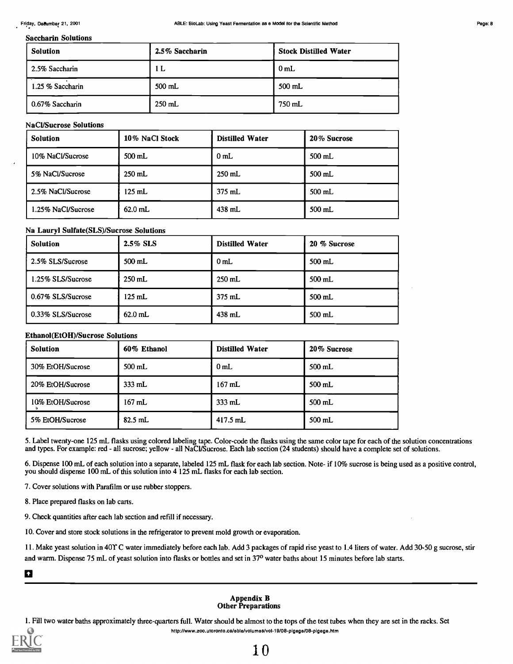#### Saccharin Solutions

| Solution         | 2.5% Saccharin | <b>Stock Distilled Water</b> |
|------------------|----------------|------------------------------|
| 2.5% Saccharin   | 1 <sub>L</sub> | 0 <sub>mL</sub>              |
| 1.25 % Saccharin | $500$ mL       | 500 mL                       |
| 0.67% Saccharin  | $250$ mL       | 750 mL                       |

#### NaCl/Sucrose Solutions

| <b>Solution</b>    | 10% NaCl Stock   | <b>Distilled Water</b> | 20% Sucrose |
|--------------------|------------------|------------------------|-------------|
| 10% NaCl/Sucrose   | $500$ mL         | 0 <sub>mL</sub>        | 500 mL      |
| 5% NaCl/Sucrose    | $250$ mL         | $250$ mL               | 500 mL      |
| 2.5% NaCl/Sucrose  | $125 \text{ mL}$ | 375 mL                 | 500 mL      |
| 1.25% NaCl/Sucrose | $62.0$ mL        | 438 mL                 | 500 mL      |

#### Na Lauryl Sulfate(SLS)/Sucrose Solutions

| <b>Solution</b>   | 2.5% SLS  | <b>Distilled Water</b> | 20 % Sucrose |
|-------------------|-----------|------------------------|--------------|
| 2.5% SLS/Sucrose  | 500 mL    | 0 <sub>mL</sub>        | 500 mL       |
| 1.25% SLS/Sucrose | $250$ mL  | $250$ mL               | $500$ mL     |
| 0.67% SLS/Sucrose | $125$ mL  | 375 mL                 | 500 mL       |
| 0.33% SLS/Sucrose | $62.0$ mL | 438 mL                 | $500$ mL     |

#### Ethanol(Et0H)/Sucrose Solutions

| <b>Solution</b>  | 60% Ethanol | <b>Distilled Water</b> | 20% Sucrose |
|------------------|-------------|------------------------|-------------|
| 30% EtOH/Sucrose | 500 mL      | 0 <sub>mL</sub>        | 500 mL      |
| 20% EtOH/Sucrose | $333$ mL    | $167$ mL               | $500$ mL    |
| 10% EtOH/Sucrose | $167$ mL    | 333 mL                 | $500$ mL    |
| 5% EtOH/Sucrose  | $82.5$ mL   | $417.5$ mL             | $500$ mL    |

5. Label twenty-one 125 mL flasks using colored labeling tape. Color-code the flasks using the same color tape for each of the solution concentrations and types. For example: red - all sucrose; yellow - all NaCl/Sucrose. Each lab section (24 students) should have a complete set of solutions.

6. Dispense 100 mL of each solution into a separate, labeled 125 mL flask for each lab section. Note- if 10% sucrose is being used as a positive control, you should dispense 100 mL of this solution into 4 125 mL flasks for each lab section.

7. Cover solutions with Parafilm or use rubber stoppers.

8. Place prepared flasks on lab carts.

9. Check quantities after each lab section and refill if necessary.

10. Cover and store stock solutions in the refrigerator to prevent mold growth or evaporation.

11. Make yeast solution in 401 C water immediately before each lab. Add 3 packages of rapid rise yeast to 1.4 liters of water. Add 30-50 g sucrose, stir and warm. Dispense 75 mL of yeast solution into flasks or bottles and set in 37° water baths about 15 minutes before lab starts.

 $\blacksquare$ 

#### Appendix B Other Preparations

1. Fill two water baths approximately three-quarters full. Water should be almost to the tops of the test tubes when they are set in the racks. Set http://www.zoo.utoronto.caiable/yolumee/yol-19/08-pigage/08-pigage.htm

,

,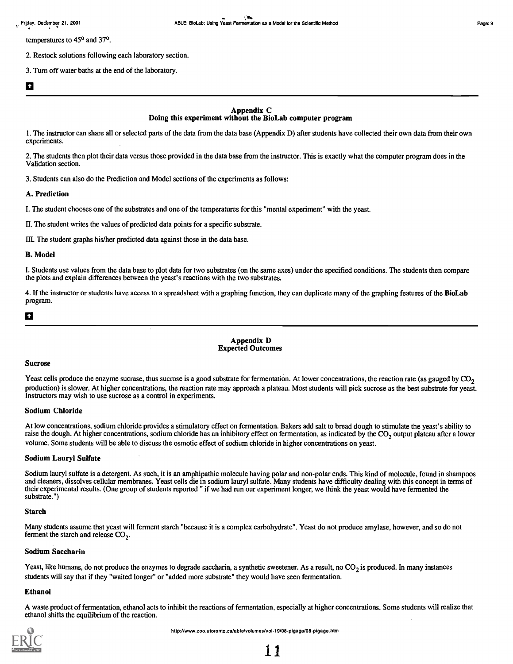temperatures to 450 and 37°.

2. Restock solutions following each laboratory section.

3. Turn off water baths at the end of the laboratory.

### a barat da ba

#### Appendix C Doing this experiment without the BioLab computer program

1. The instructor can share all or selected parts of the data from the data base (Appendix D) after students have collected their own data from their own experiments.

2. The students then plot their data versus those provided in the data base from the instructor. This is exactly what the computer program does in the Validation section.

3. Students can also do the Prediction and Model sections of the experiments as follows:

#### A. Prediction

I. The student chooses one of the substrates and one of the temperatures for this "mental experiment" with the yeast.

II. The student writes the values of predicted data points for a specific substrate.

III. The student graphs his/her predicted data against those in the data base.

#### B. Model

I. Students use values from the data base to plot data for two substrates (on the same axes) under the specified conditions. The students then compare the plots and explain differences between the yeast's reactions with the two substrates.

4. If the instructor or students have access to a spreadsheet with a graphing function, they can duplicate many of the graphing features of the BioLab program.

## a

#### Appendix D Expected Outcomes

#### Sucrose

Yeast cells produce the enzyme sucrase, thus sucrose is a good substrate for fermentation. At lower concentrations, the reaction rate (as gauged by  $CO<sub>2</sub>$ production) is slower. At higher concentrations, the reaction rate may approach a plateau. Most students will pick sucrose as the best substrate for yeast. Instructors may wish to use sucrose as a control in experiments.

#### Sodium Chloride

At low concentrations, sodium chloride provides a stimulatory effect on fermentation. Bakers add salt to bread dough to stimulate the yeast's ability to raise the dough. At higher concentrations, sodium chloride has an inhibitory effect on fermentation, as indicated by the  $CO<sub>2</sub>$  output plateau after a lower volume. Some students will be able to discuss the osmotic effect of sodium chloride in higher concentrations on yeast.

#### Sodium Lauryl Sulfate

Sodium lauryl sulfate is a detergent. As such, it is an amphipathic molecule having polar and non-polar ends. This kind of molecule, found in shampoos and cleaners, dissolves cellular membranes. Yeast cells die in sodium lauryl sulfate. Many students have difficulty dealing with this concept in terms of their experimental results. (One group of students reported " if we had run our experiment longer, we think the yeast would have fermented the substrate.")

#### Starch

Many students assume that yeast will ferment starch "because it is a complex carbohydrate". Yeast do not produce amylase, however, and so do not ferment the starch and release  $CO<sub>2</sub>$ .

#### Sodium Saccharin

Yeast, like humans, do not produce the enzymes to degrade saccharin, a synthetic sweetener. As a result, no  $CO_2$  is produced. In many instances students will say that if they "waited longer" or "added more substrate" they would have seen fermentation.

#### Ethanol

A waste product of fermentation, ethanol acts to inhibit the reactions of fermentation, especially at higher concentrations. Some students will realize that ethanol shifts the equilibrium of the reaction.